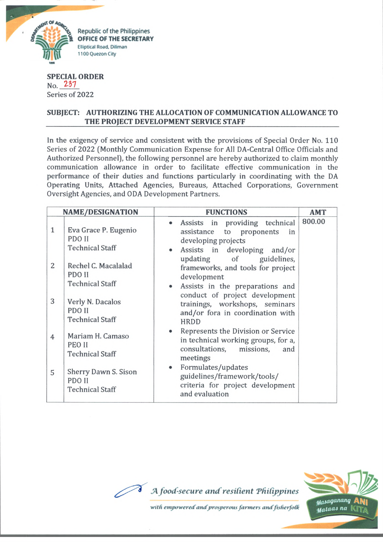

**SPECIAL ORDER** No. 237 Series of 2022

## **SUBJECT: AUTHORIZING THE ALLOCATION OF COMMUNICATION ALLOWANCE TO THE PROJECT DEVELOPMENT SERVICE STAFF**

In the exigency of service and consistent with the provisions of Special Order No. 110 Series of 2022 (Monthly Communication Expense for All DA-Central Office Officials and Authorized Personnel], the following personnel are hereby authorized to claim monthly communication allowance in order to facilitate effective communication in the performance of their duties and functions particularly in coordinating with the DA Operating Units, Attached Agencies, Bureaus, Attached Corporations, Government Oversight Agencies, and ODA Development Partners.

| <b>NAME/DESIGNATION</b> |                                                          | <b>FUNCTIONS</b>                                                                                                                     | <b>AMT</b> |
|-------------------------|----------------------------------------------------------|--------------------------------------------------------------------------------------------------------------------------------------|------------|
| $\mathbf{1}$            | Eva Grace P. Eugenio<br>PDO II<br><b>Technical Staff</b> | Assists in providing technical<br>assistance to proponents<br>in<br>developing projects<br>Assists in developing and/or<br>$\bullet$ | 800.00     |
| 2                       | Rechel C. Macalalad<br>PDO II<br><b>Technical Staff</b>  | updating of guidelines,<br>frameworks, and tools for project<br>development<br>Assists in the preparations and<br>$\bullet$          |            |
| 3                       | Verly N. Dacalos<br>PDO II<br><b>Technical Staff</b>     | conduct of project development<br>trainings, workshops, seminars<br>and/or fora in coordination with<br><b>HRDD</b>                  |            |
| $\overline{4}$          | Mariam H. Camaso<br>PEO II<br><b>Technical Staff</b>     | Represents the Division or Service<br>in technical working groups, for a,<br>consultations, missions,<br>and<br>meetings             |            |
| 5                       | Sherry Dawn S. Sison<br>PDO II<br><b>Technical Staff</b> | Formulates/updates<br>$\bullet$<br>guidelines/framework/tools/<br>criteria for project development<br>and evaluation                 |            |



with empowered and prosperous farmers and fisherfolk